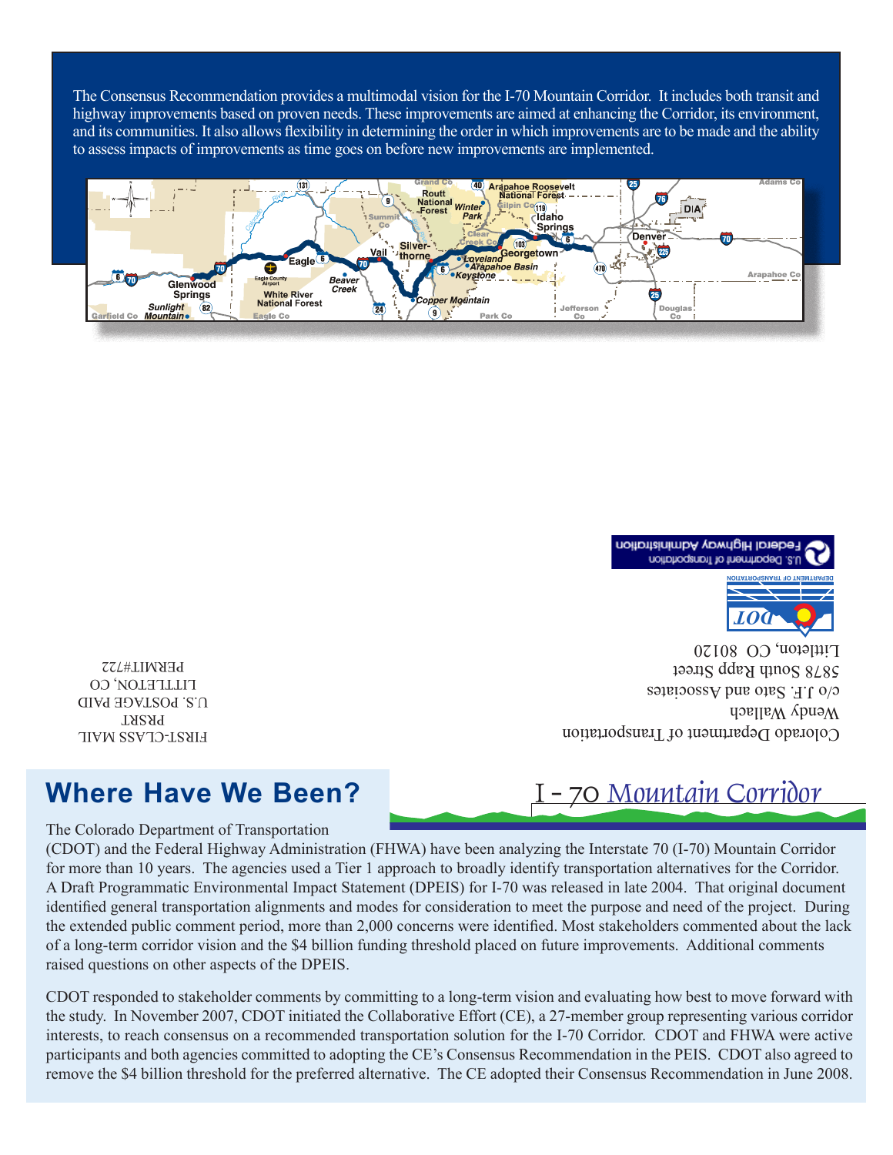The Consensus Recommendation provides a multimodal vision for the I-70 Mountain Corridor. It includes both transit and highway improvements based on proven needs. These improvements are aimed at enhancing the Corridor, its environment, and its communities. It also allows flexibility in determining the order in which improvements are to be made and the ability to assess impacts of improvements as time goes on before new improvements are implemented.





Colorado Department of Transportation  $W$ endy Wallach c/o J.H. Sato and Associates 5878 South Rapp Street  $L$ Ittleton, CO 80120

FIRST-CLASS MAIL PRSRT U.S. POSTAGE PAID LITTLETON, CO PERMIT#722

## **Where Have We Been?**

The Colorado Department of Transportation

(CDOT) and the Federal Highway Administration (FHWA) have been analyzing the Interstate 70 (I-70) Mountain Corridor for more than 10 years. The agencies used a Tier 1 approach to broadly identify transportation alternatives for the Corridor. A Draft Programmatic Environmental Impact Statement (DPEIS) for I-70 was released in late 2004. That original document identified general transportation alignments and modes for consideration to meet the purpose and need of the project. During the extended public comment period, more than 2,000 concerns were identified. Most stakeholders commented about the lack of a long-term corridor vision and the \$4 billion funding threshold placed on future improvements. Additional comments raised questions on other aspects of the DPEIS.

CDOT responded to stakeholder comments by committing to a long-term vision and evaluating how best to move forward with the study. In November 2007, CDOT initiated the Collaborative Effort (CE), a 27-member group representing various corridor interests, to reach consensus on a recommended transportation solution for the I-70 Corridor. CDOT and FHWA were active participants and both agencies committed to adopting the CE's Consensus Recommendation in the PEIS. CDOT also agreed to remove the \$4 billion threshold for the preferred alternative. The CE adopted their Consensus Recommendation in June 2008.

# I - 70 Mountain Corridor